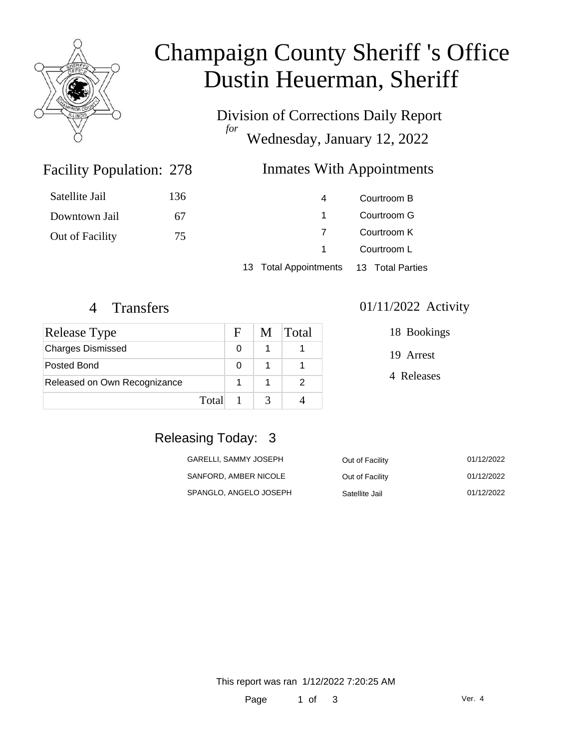

# Champaign County Sheriff 's Office Dustin Heuerman, Sheriff

Division of Corrections Daily Report *for* Wednesday, January 12, 2022

### Facility Population: 278

### Inmates With Appointments

| Satellite Jail  | 136 | 4 | Courtroom B |
|-----------------|-----|---|-------------|
| Downtown Jail   | 67  |   | Courtroom G |
| Out of Facility | 75  |   | Courtroom K |
|                 |     |   | Courtroom L |
|                 |     |   |             |

13 Total Appointments 13 Total Parties

| Release Type                 |       | $\mathbf{F}$ | M Total |
|------------------------------|-------|--------------|---------|
| <b>Charges Dismissed</b>     |       | O            |         |
| Posted Bond                  |       | O            |         |
| Released on Own Recognizance |       |              |         |
|                              | Total |              |         |

#### 4 Transfers 01/11/2022 Activity

18 Bookings

19 Arrest

4 Releases

# Releasing Today: 3

| GARELLI, SAMMY JOSEPH  | Out of Facility | 01/12/2022 |
|------------------------|-----------------|------------|
| SANFORD, AMBER NICOLE  | Out of Facility | 01/12/2022 |
| SPANGLO, ANGELO JOSEPH | Satellite Jail  | 01/12/2022 |

This report was ran 1/12/2022 7:20:25 AM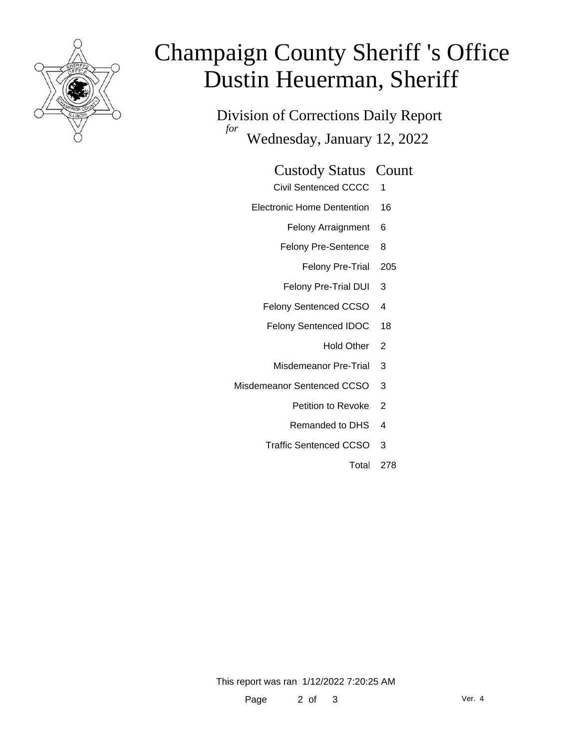

# Champaign County Sheriff 's Office Dustin Heuerman, Sheriff

Division of Corrections Daily Report *for* Wednesday, January 12, 2022

#### Custody Status Count

- Civil Sentenced CCCC 1
- Electronic Home Dentention 16
	- Felony Arraignment 6
	- Felony Pre-Sentence 8
		- Felony Pre-Trial 205
	- Felony Pre-Trial DUI 3
	- Felony Sentenced CCSO 4
	- Felony Sentenced IDOC 18
		- Hold Other 2
		- Misdemeanor Pre-Trial 3
- Misdemeanor Sentenced CCSO 3
	- Petition to Revoke 2
	- Remanded to DHS 4
	- Traffic Sentenced CCSO 3
		- Total 278

This report was ran 1/12/2022 7:20:25 AM